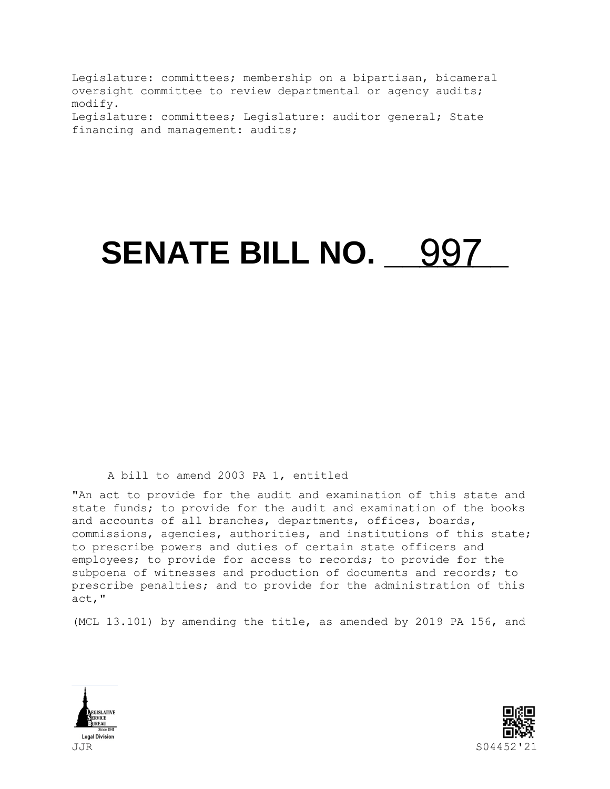Legislature: committees; membership on a bipartisan, bicameral oversight committee to review departmental or agency audits; modify. Legislature: committees; Legislature: auditor general; State financing and management: audits;

## **SENATE BILL NO. 4997**

## A bill to amend 2003 PA 1, entitled

"An act to provide for the audit and examination of this state and state funds; to provide for the audit and examination of the books and accounts of all branches, departments, offices, boards, commissions, agencies, authorities, and institutions of this state; to prescribe powers and duties of certain state officers and employees; to provide for access to records; to provide for the subpoena of witnesses and production of documents and records; to prescribe penalties; and to provide for the administration of this act,"

(MCL 13.101) by amending the title, as amended by 2019 PA 156, and



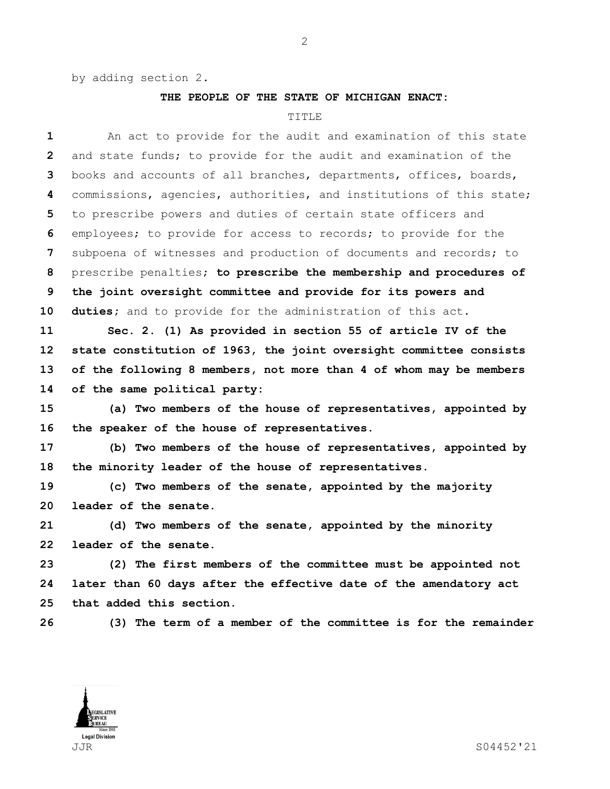by adding section 2.

## **THE PEOPLE OF THE STATE OF MICHIGAN ENACT:**

## TITLE

| 1              | An act to provide for the audit and examination of this state       |
|----------------|---------------------------------------------------------------------|
| $\overline{2}$ | and state funds; to provide for the audit and examination of the    |
| 3              | books and accounts of all branches, departments, offices, boards,   |
| 4              | commissions, agencies, authorities, and institutions of this state; |
| 5              | to prescribe powers and duties of certain state officers and        |
| 6              | employees; to provide for access to records; to provide for the     |
| 7              | subpoena of witnesses and production of documents and records; to   |
| 8              | prescribe penalties; to prescribe the membership and procedures of  |
| 9              | the joint oversight committee and provide for its powers and        |
| 10             | duties; and to provide for the administration of this act.          |
| 11             | Sec. 2. (1) As provided in section 55 of article IV of the          |
| 12             | state constitution of 1963, the joint oversight committee consists  |
| 13             | of the following 8 members, not more than 4 of whom may be members  |
| 14             | of the same political party:                                        |
| 15             | (a) Two members of the house of representatives, appointed by       |
| 16             | the speaker of the house of representatives.                        |
| 17             | (b) Two members of the house of representatives, appointed by       |
| 18             | the minority leader of the house of representatives.                |
| 19             | (c) Two members of the senate, appointed by the majority            |
| 20             | leader of the senate.                                               |
| 21             | (d) Two members of the senate, appointed by the minority            |
| 22             | leader of the senate.                                               |
| 23             | (2) The first members of the committee must be appointed not        |
| 24             | later than 60 days after the effective date of the amendatory act   |
| 25             | that added this section.                                            |
|                |                                                                     |



**(3) The term of a member of the committee is for the remainder** 

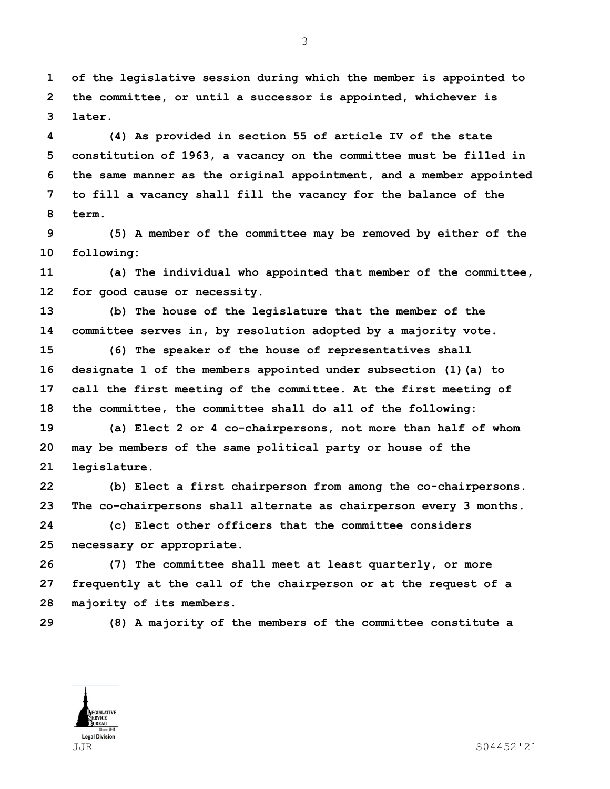**of the legislative session during which the member is appointed to the committee, or until a successor is appointed, whichever is later.**

 **(4) As provided in section 55 of article IV of the state constitution of 1963, a vacancy on the committee must be filled in the same manner as the original appointment, and a member appointed to fill a vacancy shall fill the vacancy for the balance of the term.**

 **(5) A member of the committee may be removed by either of the following:**

 **(a) The individual who appointed that member of the committee, for good cause or necessity.**

 **(b) The house of the legislature that the member of the committee serves in, by resolution adopted by a majority vote.**

 **(6) The speaker of the house of representatives shall designate 1 of the members appointed under subsection (1)(a) to call the first meeting of the committee. At the first meeting of the committee, the committee shall do all of the following:**

 **(a) Elect 2 or 4 co-chairpersons, not more than half of whom may be members of the same political party or house of the legislature.**

 **(b) Elect a first chairperson from among the co-chairpersons. The co-chairpersons shall alternate as chairperson every 3 months.**

 **(c) Elect other officers that the committee considers necessary or appropriate.**

 **(7) The committee shall meet at least quarterly, or more frequently at the call of the chairperson or at the request of a majority of its members.**

**(8) A majority of the members of the committee constitute a** 



JJR S04452'21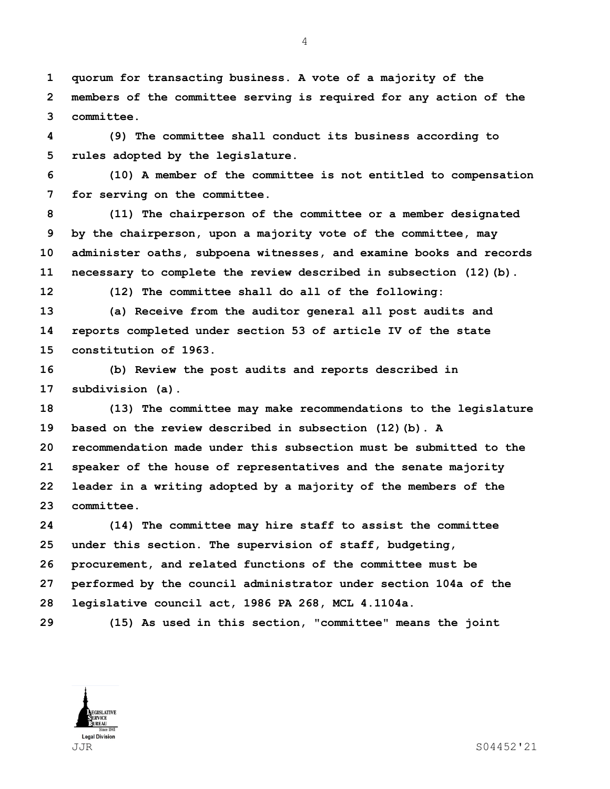**quorum for transacting business. A vote of a majority of the members of the committee serving is required for any action of the committee.**

 **(9) The committee shall conduct its business according to rules adopted by the legislature.**

 **(10) A member of the committee is not entitled to compensation for serving on the committee.**

 **(11) The chairperson of the committee or a member designated by the chairperson, upon a majority vote of the committee, may administer oaths, subpoena witnesses, and examine books and records necessary to complete the review described in subsection (12)(b).**

**(12) The committee shall do all of the following:**

 **(a) Receive from the auditor general all post audits and reports completed under section 53 of article IV of the state constitution of 1963.**

 **(b) Review the post audits and reports described in subdivision (a).**

 **(13) The committee may make recommendations to the legislature based on the review described in subsection (12)(b). A recommendation made under this subsection must be submitted to the speaker of the house of representatives and the senate majority leader in a writing adopted by a majority of the members of the committee.**

 **(14) The committee may hire staff to assist the committee under this section. The supervision of staff, budgeting, procurement, and related functions of the committee must be performed by the council administrator under section 104a of the legislative council act, 1986 PA 268, MCL 4.1104a.**

**(15) As used in this section, "committee" means the joint** 



JJR S04452'21